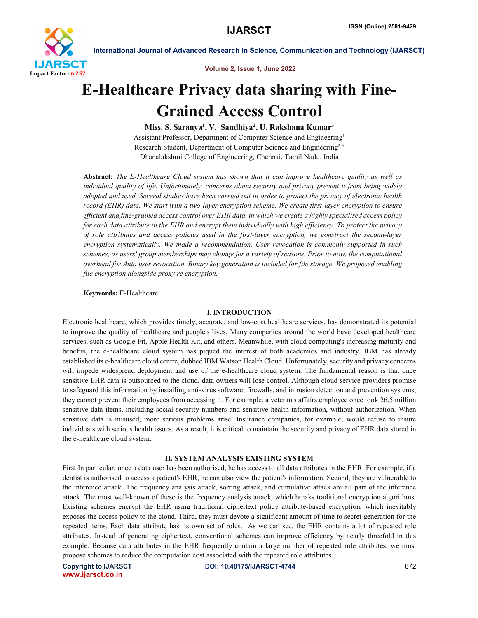

Volume 2, Issue 1, June 2022

## E-Healthcare Privacy data sharing with Fine-Grained Access Control

Miss. S. Saranya<sup>1</sup>, V. Sandhiya<sup>2</sup>, U. Rakshana Kumar<sup>3</sup> Assistant Professor, Department of Computer Science and Engineering1 Research Student, Department of Computer Science and Engineering2,3 Dhanalakshmi College of Engineering, Chennai, Tamil Nadu, India

Abstract: *The E-Healthcare Cloud system has shown that it can improve healthcare quality as well as individual quality of life. Unfortunately, concerns about security and privacy prevent it from being widely adopted and used. Several studies have been carried out in order to protect the privacy of electronic health record (EHR) data. We start with a two-layer encryption scheme. We create first-layer encryption to ensure efficient and fine-grained access control over EHR data, in which we create a highly specialised access policy for each data attribute in the EHR and encrypt them individually with high efficiency. To protect the privacy of role attributes and access policies used in the first-layer encryption, we construct the second-layer encryption systematically. We made a recommendation. User revocation is commonly supported in such schemes, as users' group memberships may change for a variety of reasons. Prior to now, the computational overhead for Auto user revocation. Binary key generation is included for file storage. We proposed enabling file encryption alongside proxy re encryption.*

Keywords: E-Healthcare.

#### I. INTRODUCTION

Electronic healthcare, which provides timely, accurate, and low-cost healthcare services, has demonstrated its potential to improve the quality of healthcare and people's lives. Many companies around the world have developed healthcare services, such as Google Fit, Apple Health Kit, and others. Meanwhile, with cloud computing's increasing maturity and benefits, the e-healthcare cloud system has piqued the interest of both academics and industry. IBM has already established its e-healthcare cloud centre, dubbed IBM Watson Health Cloud. Unfortunately, security and privacy concerns will impede widespread deployment and use of the e-healthcare cloud system. The fundamental reason is that once sensitive EHR data is outsourced to the cloud, data owners will lose control. Although cloud service providers promise to safeguard this information by installing anti-virus software, firewalls, and intrusion detection and prevention systems, they cannot prevent their employees from accessing it. For example, a veteran's affairs employee once took 26.5 million sensitive data items, including social security numbers and sensitive health information, without authorization. When sensitive data is misused, more serious problems arise. Insurance companies, for example, would refuse to insure individuals with serious health issues. As a result, it is critical to maintain the security and privacy of EHR data stored in the e-healthcare cloud system.

#### II. SYSTEM ANALYSIS EXISTING SYSTEM

First In particular, once a data user has been authorised, he has access to all data attributes in the EHR. For example, if a dentist is authorised to access a patient's EHR, he can also view the patient's information. Second, they are vulnerable to the inference attack. The frequency analysis attack, sorting attack, and cumulative attack are all part of the inference attack. The most well-known of these is the frequency analysis attack, which breaks traditional encryption algorithms. Existing schemes encrypt the EHR using traditional ciphertext policy attribute-based encryption, which inevitably exposes the access policy to the cloud. Third, they must devote a significant amount of time to secret generation for the repeated items. Each data attribute has its own set of roles. As we can see, the EHR contains a lot of repeated role attributes. Instead of generating ciphertext, conventional schemes can improve efficiency by nearly threefold in this example. Because data attributes in the EHR frequently contain a large number of repeated role attributes, we must propose schemes to reduce the computation cost associated with the repeated role attributes.

www.ijarsct.co.in

Copyright to IJARSCT **DOI: 10.48175/IJARSCT-4744** 872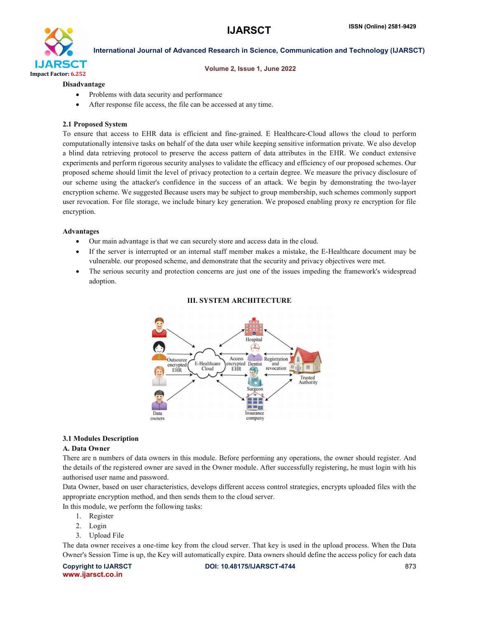

#### Volume 2, Issue 1, June 2022

#### Disadvantage

- Problems with data security and performance
- After response file access, the file can be accessed at any time.

#### 2.1 Proposed System

To ensure that access to EHR data is efficient and fine-grained. E Healthcare-Cloud allows the cloud to perform computationally intensive tasks on behalf of the data user while keeping sensitive information private. We also develop a blind data retrieving protocol to preserve the access pattern of data attributes in the EHR. We conduct extensive experiments and perform rigorous security analyses to validate the efficacy and efficiency of our proposed schemes. Our proposed scheme should limit the level of privacy protection to a certain degree. We measure the privacy disclosure of our scheme using the attacker's confidence in the success of an attack. We begin by demonstrating the two-layer encryption scheme. We suggested Because users may be subject to group membership, such schemes commonly support user revocation. For file storage, we include binary key generation. We proposed enabling proxy re encryption for file encryption.

#### Advantages

- Our main advantage is that we can securely store and access data in the cloud.
- If the server is interrupted or an internal staff member makes a mistake, the E-Healthcare document may be vulnerable. our proposed scheme, and demonstrate that the security and privacy objectives were met.
- The serious security and protection concerns are just one of the issues impeding the framework's widespread adoption.

#### III. SYSTEM ARCHITECTURE



#### 3.1 Modules Description

#### A. Data Owner

There are n numbers of data owners in this module. Before performing any operations, the owner should register. And the details of the registered owner are saved in the Owner module. After successfully registering, he must login with his authorised user name and password.

Data Owner, based on user characteristics, develops different access control strategies, encrypts uploaded files with the appropriate encryption method, and then sends them to the cloud server.

In this module, we perform the following tasks:

- 1. Register
- 2. Login
- 3. Upload File

The data owner receives a one-time key from the cloud server. That key is used in the upload process. When the Data Owner's Session Time is up, the Key will automatically expire. Data owners should define the access policy for each data

www.ijarsct.co.in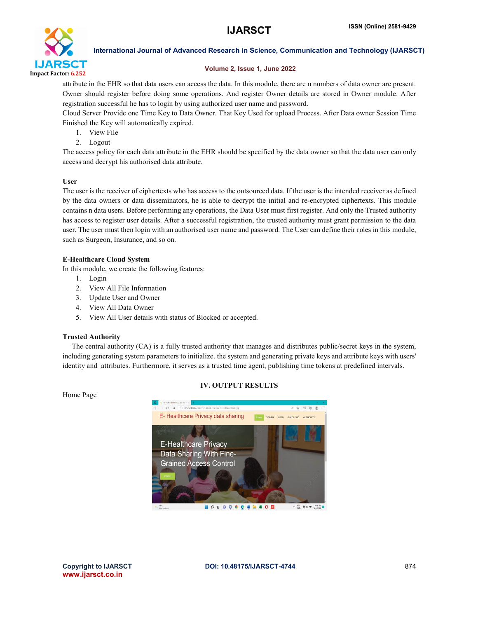

#### Volume 2, Issue 1, June 2022

attribute in the EHR so that data users can access the data. In this module, there are n numbers of data owner are present. Owner should register before doing some operations. And register Owner details are stored in Owner module. After registration successful he has to login by using authorized user name and password.

Cloud Server Provide one Time Key to Data Owner. That Key Used for upload Process. After Data owner Session Time Finished the Key will automatically expired.

- 1. View File
- 2. Logout

The access policy for each data attribute in the EHR should be specified by the data owner so that the data user can only access and decrypt his authorised data attribute.

#### User

The user is the receiver of ciphertexts who has access to the outsourced data. If the user is the intended receiver as defined by the data owners or data disseminators, he is able to decrypt the initial and re-encrypted ciphertexts. This module contains n data users. Before performing any operations, the Data User must first register. And only the Trusted authority has access to register user details. After a successful registration, the trusted authority must grant permission to the data user. The user must then login with an authorised user name and password. The User can define their roles in this module, such as Surgeon, Insurance, and so on.

#### E-Healthcare Cloud System

In this module, we create the following features:

- 1. Login
- 2. View All File Information
- 3. Update User and Owner
- 4. View All Data Owner
- 5. View All User details with status of Blocked or accepted.

#### Trusted Authority

Home Page

 The central authority (CA) is a fully trusted authority that manages and distributes public/secret keys in the system, including generating system parameters to initialize. the system and generating private keys and attribute keys with users' identity and attributes. Furthermore, it serves as a trusted time agent, publishing time tokens at predefined intervals.

#### IV. OUTPUT RESULTS

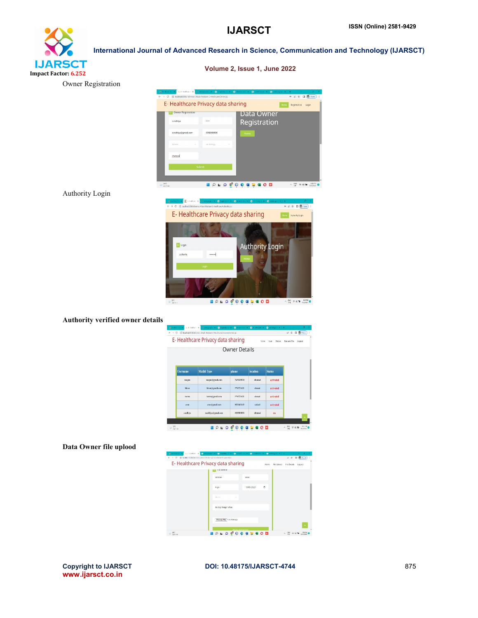# **IJARSCT** Impact Factor: 6.252

International Journal of Advanced Research in Science, Communication and Technology (IJARSCT)

Volume 2, Issue 1, June 2022

|         | $\subseteq$ D Hullican ( $\mathbf{x}$<br>> C   0 local tost 6084/inference Attack-Resistant E-Healthcare/Owner.jsp |                                                                                                                                                                                                                                                                                                                                                                                                                          |                              |                 |                        |                                                                       |
|---------|--------------------------------------------------------------------------------------------------------------------|--------------------------------------------------------------------------------------------------------------------------------------------------------------------------------------------------------------------------------------------------------------------------------------------------------------------------------------------------------------------------------------------------------------------------|------------------------------|-----------------|------------------------|-----------------------------------------------------------------------|
|         | E- Healthcare Privacy data sharing                                                                                 |                                                                                                                                                                                                                                                                                                                                                                                                                          |                              |                 |                        | Home<br>Registration<br>Login                                         |
|         | <b>DE Owner Registration</b>                                                                                       |                                                                                                                                                                                                                                                                                                                                                                                                                          |                              | Data Owner      |                        |                                                                       |
|         | sandhiya                                                                                                           |                                                                                                                                                                                                                                                                                                                                                                                                                          |                              | Registration    |                        |                                                                       |
|         | sandhiya@gmail.com                                                                                                 | 9098989890                                                                                                                                                                                                                                                                                                                                                                                                               |                              |                 |                        |                                                                       |
|         | temate                                                                                                             | cardictory                                                                                                                                                                                                                                                                                                                                                                                                               |                              |                 |                        |                                                                       |
|         |                                                                                                                    |                                                                                                                                                                                                                                                                                                                                                                                                                          |                              |                 |                        |                                                                       |
|         | chennai                                                                                                            |                                                                                                                                                                                                                                                                                                                                                                                                                          |                              |                 |                        |                                                                       |
|         |                                                                                                                    | Submit                                                                                                                                                                                                                                                                                                                                                                                                                   |                              |                 |                        |                                                                       |
|         |                                                                                                                    |                                                                                                                                                                                                                                                                                                                                                                                                                          |                              |                 |                        |                                                                       |
| 4 Parc  |                                                                                                                    |                                                                                                                                                                                                                                                                                                                                                                                                                          | $O$ <b>LO CO C G B G O D</b> |                 |                        | $\sim$ $\frac{100}{100}$ $\approx$ di M $\frac{0.001}{1000000}$       |
|         |                                                                                                                    |                                                                                                                                                                                                                                                                                                                                                                                                                          |                              |                 |                        |                                                                       |
|         | $\overline{\mathbf{R}}$ ) - Folds are $\mathbf{R}$<br>$\leftarrow$                                                 | Biomopophi x 6<br>$\rightarrow$ C $\Box$ localizet@41 after ce. Attack-Resistant E-Health care/Authority js:                                                                                                                                                                                                                                                                                                             |                              |                 |                        | $\mathbf{b} \mathbf{c} \mathbf{c} \mathbf{d} \mathbf{c} = \mathbf{0}$ |
|         |                                                                                                                    | E-Healthcare Privacy data sharing                                                                                                                                                                                                                                                                                                                                                                                        |                              |                 |                        | Authority Legin                                                       |
|         |                                                                                                                    |                                                                                                                                                                                                                                                                                                                                                                                                                          |                              |                 |                        |                                                                       |
|         |                                                                                                                    |                                                                                                                                                                                                                                                                                                                                                                                                                          |                              |                 |                        |                                                                       |
|         |                                                                                                                    |                                                                                                                                                                                                                                                                                                                                                                                                                          |                              |                 |                        |                                                                       |
|         |                                                                                                                    |                                                                                                                                                                                                                                                                                                                                                                                                                          |                              |                 |                        |                                                                       |
|         | <b>E</b> Login                                                                                                     |                                                                                                                                                                                                                                                                                                                                                                                                                          |                              |                 | <b>Authority Login</b> |                                                                       |
|         | authority                                                                                                          |                                                                                                                                                                                                                                                                                                                                                                                                                          |                              |                 |                        |                                                                       |
|         |                                                                                                                    |                                                                                                                                                                                                                                                                                                                                                                                                                          |                              |                 |                        |                                                                       |
|         |                                                                                                                    | Login                                                                                                                                                                                                                                                                                                                                                                                                                    |                              |                 |                        |                                                                       |
|         |                                                                                                                    |                                                                                                                                                                                                                                                                                                                                                                                                                          |                              |                 |                        |                                                                       |
|         |                                                                                                                    |                                                                                                                                                                                                                                                                                                                                                                                                                          |                              |                 |                        |                                                                       |
|         |                                                                                                                    |                                                                                                                                                                                                                                                                                                                                                                                                                          |                              |                 |                        |                                                                       |
|         |                                                                                                                    |                                                                                                                                                                                                                                                                                                                                                                                                                          |                              |                 |                        |                                                                       |
|         | $\omega$ are                                                                                                       |                                                                                                                                                                                                                                                                                                                                                                                                                          | <b>BOLOGOCSLOD</b>           |                 |                        | $\frac{806}{301}$ $\Rightarrow$ 30 $\approx$ $\frac{6.674}{205200}$ 0 |
|         |                                                                                                                    |                                                                                                                                                                                                                                                                                                                                                                                                                          |                              |                 |                        |                                                                       |
| details |                                                                                                                    |                                                                                                                                                                                                                                                                                                                                                                                                                          |                              |                 |                        |                                                                       |
|         | $\omega$                                                                                                           | $\mathbb{E} \left[ \begin{array}{c c c c c} \mathbf{X} & \mathbf{B} & \mathbf{B} & \mathbf{B} & \mathbf{B} & \mathbf{B} & \mathbf{B} & \mathbf{B} & \mathbf{B} & \mathbf{B} & \mathbf{B} & \mathbf{B} & \mathbf{B} & \mathbf{B} & \mathbf{B} & \mathbf{B} & \mathbf{B} & \mathbf{B} & \mathbf{B} & \mathbf{B} & \mathbf{B} & \mathbf{B} & \mathbf{B} & \mathbf{B} & \mathbf{B} & \mathbf{B} & \mathbf{B} & \mathbf{B} &$ |                              | $x = 0$ is able |                        |                                                                       |
|         | $\leftarrow + \leftarrow$ 0 loalloot#034/informs: Atad: Reistant E-Holdhom/consumeriess@jp                         |                                                                                                                                                                                                                                                                                                                                                                                                                          |                              |                 |                        | 日日 日 第1200                                                            |
|         |                                                                                                                    | E-Healthcare Privacy data sharing                                                                                                                                                                                                                                                                                                                                                                                        |                              | Home            | User<br>Owner          | Request File Logout                                                   |
|         |                                                                                                                    |                                                                                                                                                                                                                                                                                                                                                                                                                          | <b>Owner Details</b>         |                 |                        |                                                                       |
|         |                                                                                                                    |                                                                                                                                                                                                                                                                                                                                                                                                                          |                              |                 |                        |                                                                       |
|         |                                                                                                                    |                                                                                                                                                                                                                                                                                                                                                                                                                          |                              |                 |                        |                                                                       |
|         | Username                                                                                                           | Mailid Type                                                                                                                                                                                                                                                                                                                                                                                                              | phone                        | location        | <b>Status</b>          |                                                                       |
|         | mogan                                                                                                              | magan@graail.com                                                                                                                                                                                                                                                                                                                                                                                                         | 7639330524                   | cheanal         | activated              |                                                                       |
|         |                                                                                                                    |                                                                                                                                                                                                                                                                                                                                                                                                                          |                              |                 |                        |                                                                       |
|         | kiran                                                                                                              | kiransigmail.com                                                                                                                                                                                                                                                                                                                                                                                                         | 9790721621                   | cheasi          | activated              |                                                                       |
|         | varun                                                                                                              | varm@gmall.com                                                                                                                                                                                                                                                                                                                                                                                                           | 9790721621                   | cheast          | activated              |                                                                       |

### Authority Login

Owner Registration

### Data Owner file uplood

Authority verified owner



**IDLOGOCGEGOD** 

 $\frac{1}{\text{diam}(\mathcal{A})}$ 

 $\overline{10}$ 

 $\frac{80}{10}$ 

sundhiya@gmail.com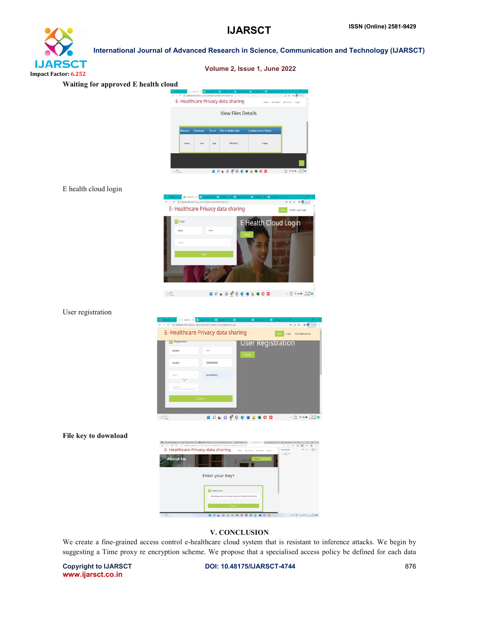## **IJARSCT** Impact Factor: 6.252

## Waiting for approved E health cloud  $z \in \mathbb{R}$ E- Healthcare Privacy data sharing View Files Details **HORO COCARGOD**  $\sim \frac{100}{100}$  with  $\sim$ E health cloud login - 2 4 0 0 m E- Healthcare Privacy data sharing **Force** E Health Login Logi  $\boxed{z}$  Logi E Health Cloud Login  $\blacksquare \circ \blacksquare \circ \blacksquare \circ \blacksquare \circ \blacksquare \circ \blacksquare \bullet \blacksquare \bullet \blacksquare \bullet \blacksquare \bullet \blacksquare \bullet \blacksquare \bullet \blacksquare \bullet \blacksquare \bullet \blacksquare \bullet \blacksquare \bullet \blacksquare \bullet \blacksquare \bullet \blacksquare \bullet \blacksquare \bullet \blacksquare \bullet \blacksquare \bullet \blacksquare \bullet \blacksquare \bullet \blacksquare \bullet \blacksquare \bullet \blacksquare \bullet \blacksquare \bullet \blacksquare \bullet \blacksquare \bullet \blacksquare \bullet \blacksquare \bullet \blacksquare \bullet \blacksquare \bullet \blacksquare \bullet \blacksquare \bullet \blacksquare \bullet \blacksquare$  $\Delta_{\rm conv}^{\rm src}$ User registration -<br>- 2 文 日 6 7300 E- Healthcare Privacy data sharing Rome Login User Registration **Isl** Registra User Registration barath .... barati 909698989 **HOLOGOCALGOD**  $\begin{array}{rcl} \wedge & \mathrm{ess} & \phi & \mathrm{op} \otimes & \mathrm{essus} \; \mathbf{O} \\ \mathbf{max} & \phi & \mathrm{supus} & \mathrm{supus} \; \mathbf{O} \end{array}$  $2r$ File key to download  $+$  . E- Healthcare Privacy data sharing **About Us** Enter your Key1 **EXI** Regi

International Journal of Advanced Research in Science, Communication and Technology (IJARSCT)

Volume 2, Issue 1, June 2022

#### V. CONCLUSION

**EPLOUTOGRESS** 

We create a fine-grained access control e-healthcare cloud system that is resistant to inference attacks. We begin by suggesting a Time proxy re encryption scheme. We propose that a specialised access policy be defined for each data

www.ijarsct.co.in

Copyright to IJARSCT **DOI: 10.48175/IJARSCT-4744** 876